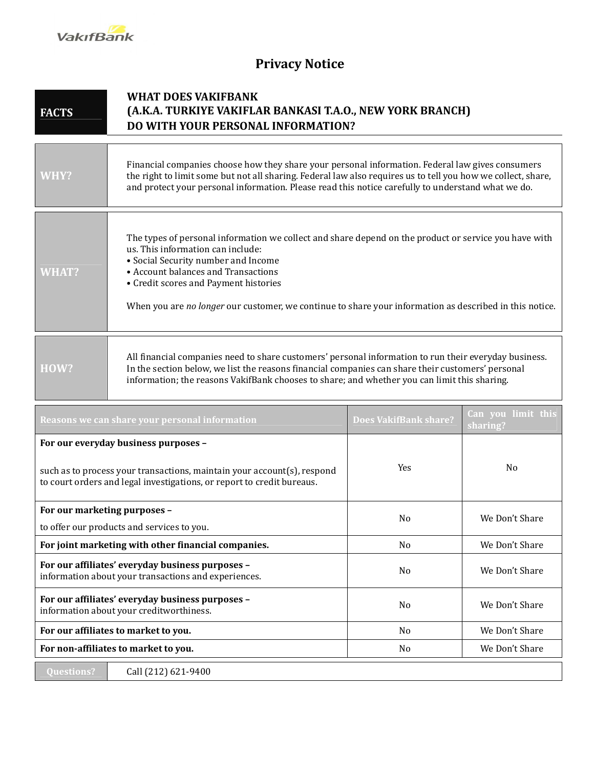

## **Privacy Notice**

## **FACTS WHAT DOES VAKIFBANK (A.K.A. TURKIYE VAKIFLAR BANKASI T.A.O., NEW YORK BRANCH) DO WITH YOUR PERSONAL INFORMATION?**

| WHY?         | Financial companies choose how they share your personal information. Federal law gives consumers<br>the right to limit some but not all sharing. Federal law also requires us to tell you how we collect, share,<br>and protect your personal information. Please read this notice carefully to understand what we do.                                                       |
|--------------|------------------------------------------------------------------------------------------------------------------------------------------------------------------------------------------------------------------------------------------------------------------------------------------------------------------------------------------------------------------------------|
| <b>WHAT?</b> | The types of personal information we collect and share depend on the product or service you have with<br>us. This information can include:<br>• Social Security number and Income<br>• Account balances and Transactions<br>• Credit scores and Payment histories<br>When you are no longer our customer, we continue to share your information as described in this notice. |
| HOW?         | All financial companies need to share customers' personal information to run their everyday business.<br>In the section below, we list the reasons financial companies can share their customers' personal                                                                                                                                                                   |

In the section below, we list the reasons financial companies can share their customers' personal information; the reasons VakifBank chooses to share; and whether you can limit this sharing.

| Reasons we can share your personal information                                                                                                    | <b>Does VakifBank share?</b> | Can you limit this<br>sharing? |
|---------------------------------------------------------------------------------------------------------------------------------------------------|------------------------------|--------------------------------|
| For our everyday business purposes -                                                                                                              |                              |                                |
| such as to process your transactions, maintain your account(s), respond<br>to court orders and legal investigations, or report to credit bureaus. | Yes                          | N <sub>0</sub>                 |
| For our marketing purposes -                                                                                                                      | N <sub>0</sub>               | We Don't Share                 |
| to offer our products and services to you.                                                                                                        |                              |                                |
| For joint marketing with other financial companies.                                                                                               | N <sub>0</sub>               | We Don't Share                 |
| For our affiliates' everyday business purposes -<br>information about your transactions and experiences.                                          | N <sub>0</sub>               | We Don't Share                 |
| For our affiliates' everyday business purposes -<br>information about your creditworthiness.                                                      | N <sub>0</sub>               | We Don't Share                 |
| For our affiliates to market to you.                                                                                                              | N <sub>0</sub>               | We Don't Share                 |
| For non-affiliates to market to you.                                                                                                              | N <sub>0</sub>               | We Don't Share                 |
| Call (212) 621-9400<br><b>Questions?</b>                                                                                                          |                              |                                |